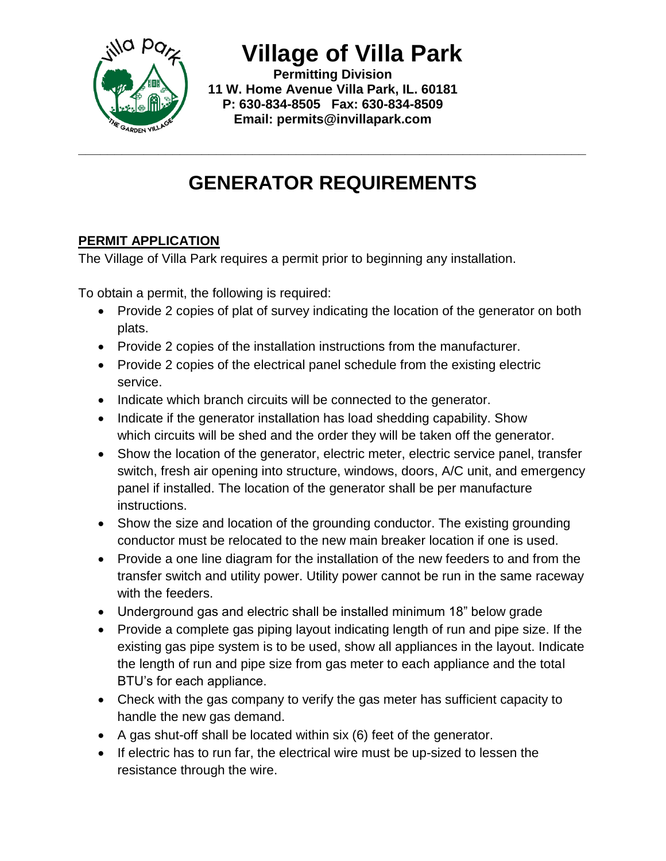

**Village of Villa Park**

**Permitting Division 11 W. Home Avenue Villa Park, IL. 60181 P: 630-834-8505 Fax: 630-834-8509 Email: permits@invillapark.com**

## **GENERATOR REQUIREMENTS**

**\_\_\_\_\_\_\_\_\_\_\_\_\_\_\_\_\_\_\_\_\_\_\_\_\_\_\_\_\_\_\_\_\_\_\_\_\_\_\_\_\_\_\_\_\_\_\_\_\_\_\_\_\_\_\_\_\_\_\_\_\_\_\_\_\_\_\_\_\_\_**

## **PERMIT APPLICATION**

The Village of Villa Park requires a permit prior to beginning any installation.

To obtain a permit, the following is required:

- Provide 2 copies of plat of survey indicating the location of the generator on both plats.
- Provide 2 copies of the installation instructions from the manufacturer.
- Provide 2 copies of the electrical panel schedule from the existing electric service.
- Indicate which branch circuits will be connected to the generator.
- Indicate if the generator installation has load shedding capability. Show which circuits will be shed and the order they will be taken off the generator.
- Show the location of the generator, electric meter, electric service panel, transfer switch, fresh air opening into structure, windows, doors, A/C unit, and emergency panel if installed. The location of the generator shall be per manufacture instructions.
- Show the size and location of the grounding conductor. The existing grounding conductor must be relocated to the new main breaker location if one is used.
- Provide a one line diagram for the installation of the new feeders to and from the transfer switch and utility power. Utility power cannot be run in the same raceway with the feeders.
- Underground gas and electric shall be installed minimum 18" below grade
- Provide a complete gas piping layout indicating length of run and pipe size. If the existing gas pipe system is to be used, show all appliances in the layout. Indicate the length of run and pipe size from gas meter to each appliance and the total BTU's for each appliance.
- Check with the gas company to verify the gas meter has sufficient capacity to handle the new gas demand.
- A gas shut-off shall be located within six (6) feet of the generator.
- If electric has to run far, the electrical wire must be up-sized to lessen the resistance through the wire.